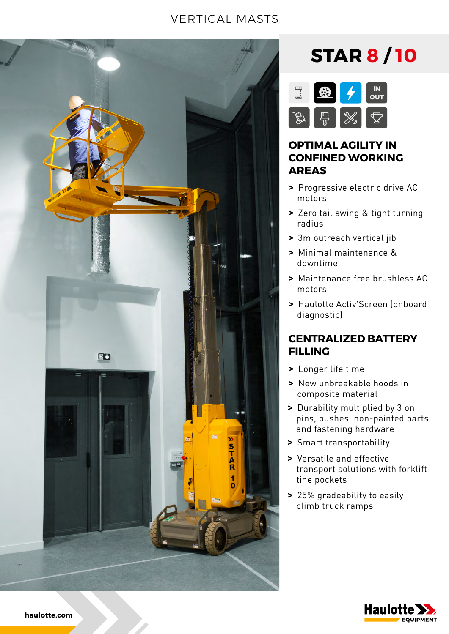### VERTICAL MASTS



## **STAR 8 / 10**



#### **OPTIMAL AGILITY IN CONFINED WORKING AREAS**

- **>** Progressive electric drive AC motors
- **>** Zero tail swing & tight turning radius
- **>** 3m outreach vertical jib
- **>** Minimal maintenance & downtime
- **>** Maintenance free brushless AC motors
- **>** Haulotte Activ'Screen (onboard diagnostic)

#### **CENTRALIZED BATTERY FILLING**

- **>** Longer life time
- **>** New unbreakable hoods in composite material
- **>** Durability multiplied by 3 on pins, bushes, non-painted parts and fastening hardware
- **>** Smart transportability
- **>** Versatile and effective transport solutions with forklift tine pockets
- **>** 25% gradeability to easily climb truck ramps